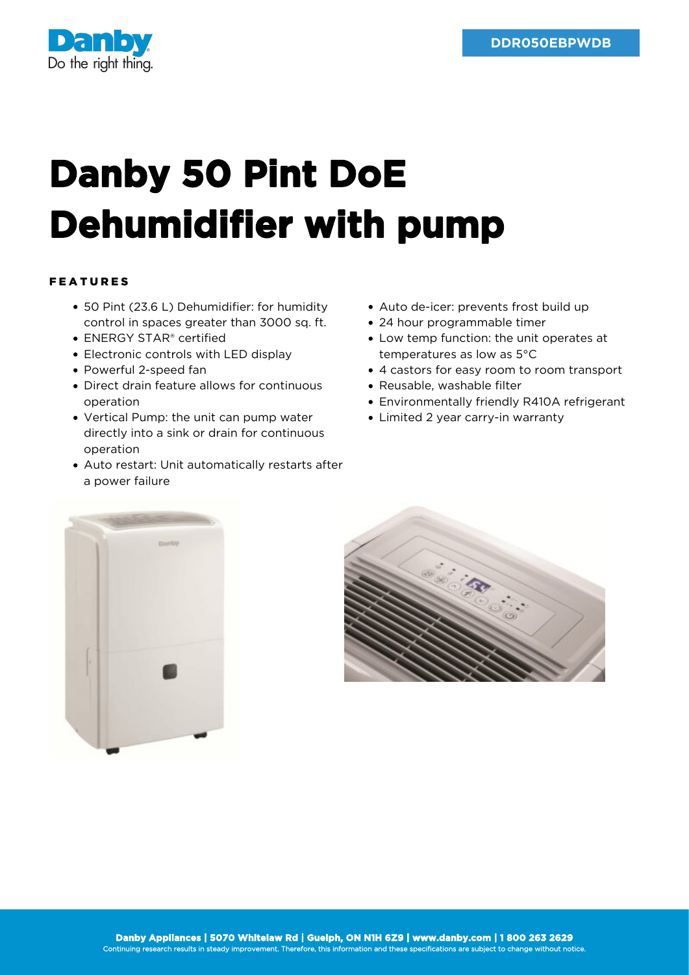

## **Danby 50 Pint DoE Dehumidifier with pump**

## FEATURES

- 50 Pint (23.6 L) Dehumidifier: for humidity control in spaces greater than 3000 sq. ft.
- ENERGY STAR® certified
- Electronic controls with LED display
- Powerful 2-speed fan
- Direct drain feature allows for continuous operation
- Vertical Pump: the unit can pump water directly into a sink or drain for continuous operation
- Auto restart: Unit automatically restarts after a power failure
- Auto de-icer: prevents frost build up
- 24 hour programmable timer
- Low temp function: the unit operates at temperatures as low as 5°C
- 4 castors for easy room to room transport
- Reusable, washable filter
- Environmentally friendly R410A refrigerant
- Limited 2 year carry-in warranty